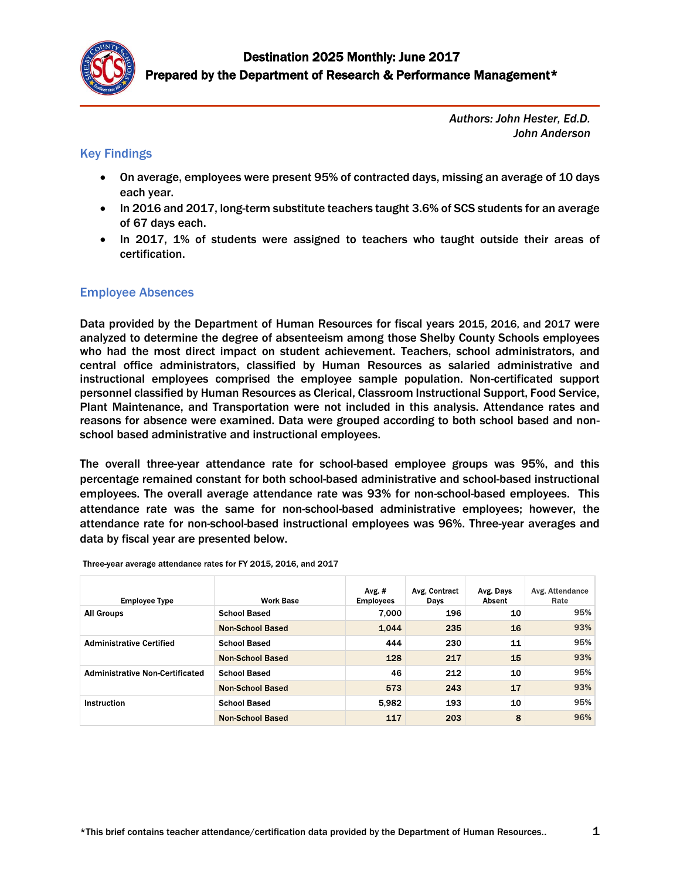

*Authors: John Hester, Ed.D. John Anderson*

## Key Findings

- On average, employees were present 95% of contracted days, missing an average of 10 days each year.
- In 2016 and 2017, long-term substitute teachers taught 3.6% of SCS students for an average of 67 days each.
- In 2017, 1% of students were assigned to teachers who taught outside their areas of certification.

## Employee Absences

Data provided by the Department of Human Resources for fiscal years 2015, 2016, and 2017 were analyzed to determine the degree of absenteeism among those Shelby County Schools employees who had the most direct impact on student achievement. Teachers, school administrators, and central office administrators, classified by Human Resources as salaried administrative and instructional employees comprised the employee sample population. Non-certificated support personnel classified by Human Resources as Clerical, Classroom Instructional Support, Food Service, Plant Maintenance, and Transportation were not included in this analysis. Attendance rates and reasons for absence were examined. Data were grouped according to both school based and nonschool based administrative and instructional employees.

The overall three-year attendance rate for school-based employee groups was 95%, and this percentage remained constant for both school-based administrative and school-based instructional employees. The overall average attendance rate was 93% for non-school-based employees. This attendance rate was the same for non-school-based administrative employees; however, the attendance rate for non-school-based instructional employees was 96%. Three-year averages and data by fiscal year are presented below.

| <b>Employee Type</b>                   | <b>Work Base</b>        | Avg. #<br><b>Employees</b> | Avg. Contract<br>Days | Avg. Days<br>Absent | Avg. Attendance<br>Rate |
|----------------------------------------|-------------------------|----------------------------|-----------------------|---------------------|-------------------------|
| <b>All Groups</b>                      | <b>School Based</b>     | 7.000                      | 196                   | 10                  | 95%                     |
|                                        | <b>Non-School Based</b> | 1,044                      | 235                   | 16                  | 93%                     |
| <b>Administrative Certified</b>        | <b>School Based</b>     | 444                        | 230                   | 11                  | 95%                     |
|                                        | <b>Non-School Based</b> | 128                        | 217                   | 15                  | 93%                     |
| <b>Administrative Non-Certificated</b> | <b>School Based</b>     | 46                         | 212                   | 10                  | 95%                     |
|                                        | <b>Non-School Based</b> | 573                        | 243                   | 17                  | 93%                     |
| Instruction                            | <b>School Based</b>     | 5,982                      | 193                   | 10                  | 95%                     |
|                                        | <b>Non-School Based</b> | 117                        | 203                   | 8                   | 96%                     |

Three-year average attendance rates for FY 2015, 2016, and 2017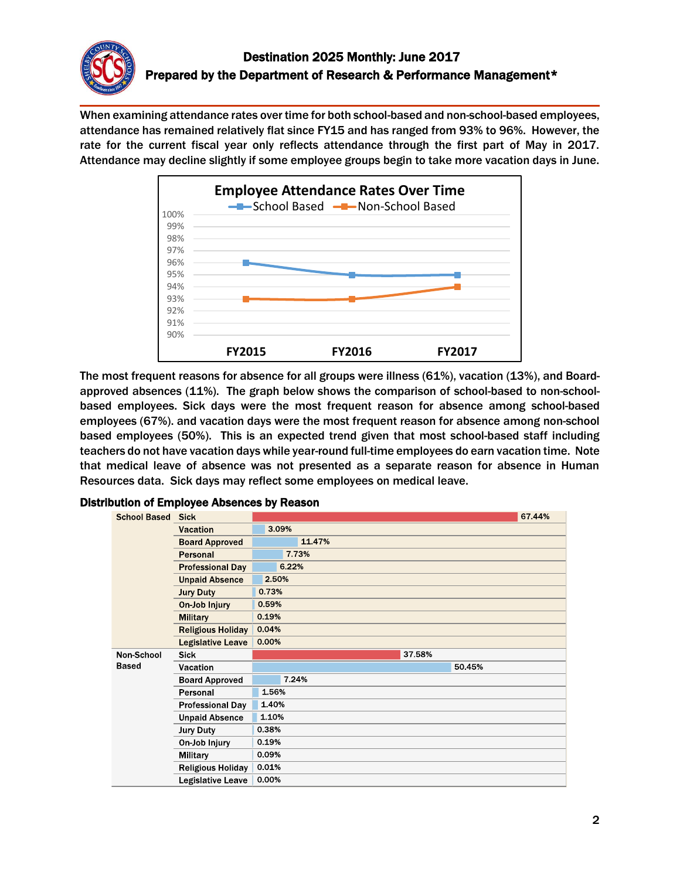

When examining attendance rates over time for both school-based and non-school-based employees, attendance has remained relatively flat since FY15 and has ranged from 93% to 96%. However, the rate for the current fiscal year only reflects attendance through the first part of May in 2017. Attendance may decline slightly if some employee groups begin to take more vacation days in June.



The most frequent reasons for absence for all groups were illness (61%), vacation (13%), and Boardapproved absences (11%). The graph below shows the comparison of school-based to non-schoolbased employees. Sick days were the most frequent reason for absence among school-based employees (67%). and vacation days were the most frequent reason for absence among non-school based employees (50%). This is an expected trend given that most school-based staff including teachers do not have vacation days while year-round full-time employees do earn vacation time. Note that medical leave of absence was not presented as a separate reason for absence in Human Resources data. Sick days may reflect some employees on medical leave.

| <b>School Based</b> | <b>Sick</b>              |        | 67.44% |
|---------------------|--------------------------|--------|--------|
|                     | <b>Vacation</b>          | 3.09%  |        |
|                     | <b>Board Approved</b>    | 11.47% |        |
|                     | Personal                 | 7.73%  |        |
|                     | <b>Professional Day</b>  | 6.22%  |        |
|                     | <b>Unpaid Absence</b>    | 2.50%  |        |
|                     | <b>Jury Duty</b>         | 0.73%  |        |
|                     | On-Job Injury            | 0.59%  |        |
|                     | <b>Military</b>          | 0.19%  |        |
|                     | <b>Religious Holiday</b> | 0.04%  |        |
|                     | <b>Legislative Leave</b> | 0.00%  |        |
| Non-School          | <b>Sick</b>              | 37.58% |        |
| <b>Based</b>        | Vacation                 | 50.45% |        |
|                     | <b>Board Approved</b>    | 7.24%  |        |
|                     | Personal                 | 1.56%  |        |
|                     | <b>Professional Day</b>  | 1.40%  |        |
|                     | <b>Unpaid Absence</b>    | 1.10%  |        |
|                     | <b>Jury Duty</b>         | 0.38%  |        |
|                     | On-Job Injury            | 0.19%  |        |
|                     | Military                 | 0.09%  |        |
|                     | <b>Religious Holiday</b> | 0.01%  |        |
|                     | Legislative Leave        | 0.00%  |        |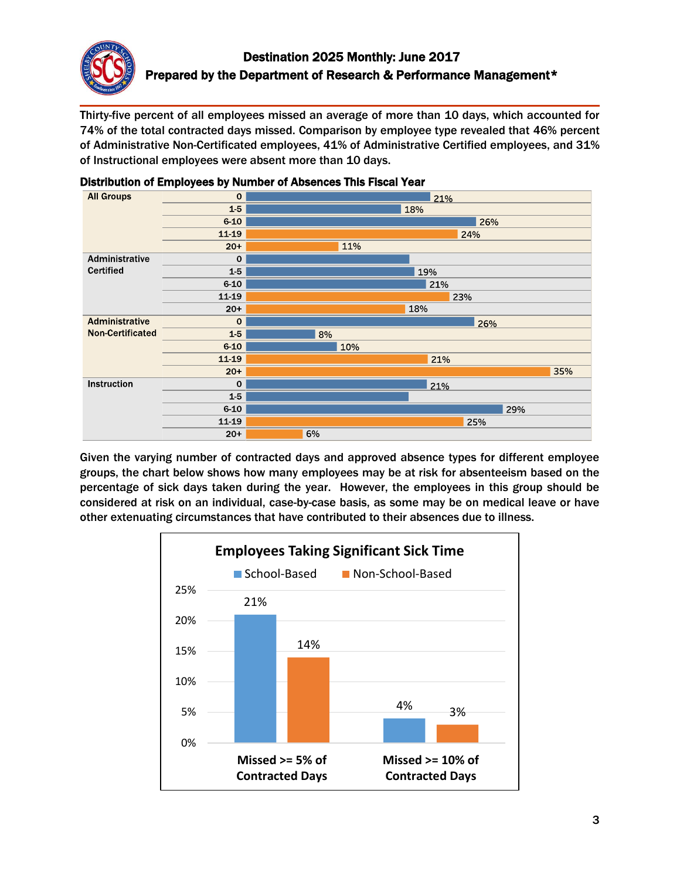

Thirty-five percent of all employees missed an average of more than 10 days, which accounted for 74% of the total contracted days missed. Comparison by employee type revealed that 46% percent of Administrative Non-Certificated employees, 41% of Administrative Certified employees, and 31% of Instructional employees were absent more than 10 days.



#### Distribution of Employees by Number of Absences This Fiscal Year

Given the varying number of contracted days and approved absence types for different employee groups, the chart below shows how many employees may be at risk for absenteeism based on the percentage of sick days taken during the year. However, the employees in this group should be considered at risk on an individual, case-by-case basis, as some may be on medical leave or have other extenuating circumstances that have contributed to their absences due to illness.

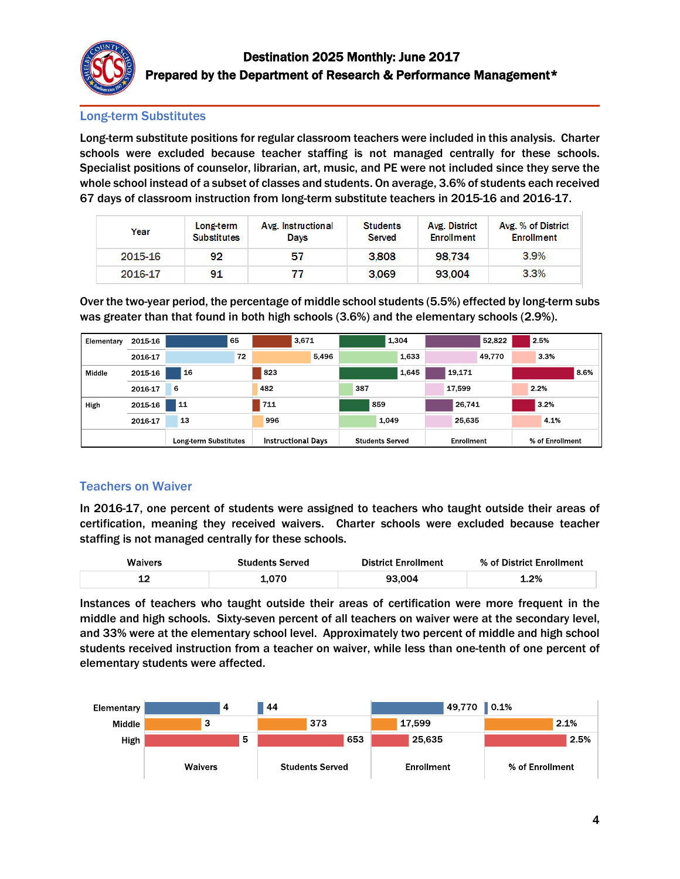

## Long-term Substitutes

Long-term substitute positions for regular classroom teachers were included in this analysis. Charter schools were excluded because teacher staffing is not managed centrally for these schools. Specialist positions of counselor, librarian, art, music, and PE were not included since they serve the whole school instead of a subset of classes and students. On average, 3.6% of students each received 67 days of classroom instruction from long-term substitute teachers in 2015-16 and 2016-17.

| Year    | Long-term<br><b>Substitutes</b> | Avg. Instructional<br>Davs | <b>Students</b><br>Served | Avg. District<br><b>Enrollment</b> | Avg. % of District<br><b>Enrollment</b> |
|---------|---------------------------------|----------------------------|---------------------------|------------------------------------|-----------------------------------------|
| 2015-16 | 92                              | 57                         | 3,808                     | 98.734                             | $3.9\%$                                 |
| 2016-17 | 91                              | 77                         | 3.069                     | 93.004                             | $3.3\%$                                 |

Over the two-year period, the percentage of middle school students (5.5%) effected by long-term subs was greater than that found in both high schools (3.6%) and the elementary schools (2.9%).

| Elementary | 2015-16 | 65                    | 3,671                     | 1,304                  | 52,822     | 2.5%            |
|------------|---------|-----------------------|---------------------------|------------------------|------------|-----------------|
|            | 2016-17 | 72                    | 5,496                     | 1,633                  | 49,770     | 3.3%            |
| Middle     | 2015-16 | 16                    | 823                       | 1,645                  | 19,171     | 8.6%            |
|            | 2016-17 | 6                     | 482                       | 387                    | 17,599     | 2.2%            |
| High       | 2015-16 | 11                    | 711                       | 859                    | 26.741     | 3.2%            |
|            | 2016-17 | 13                    | 996                       | 1.049                  | 25,635     | 4.1%            |
|            |         | Long-term Substitutes | <b>Instructional Days</b> | <b>Students Served</b> | Enrollment | % of Enrollment |

# Teachers on Waiver

In 2016-17, one percent of students were assigned to teachers who taught outside their areas of certification, meaning they received waivers. Charter schools were excluded because teacher staffing is not managed centrally for these schools.

| <b>Waivers</b> | <b>Students Served</b> | <b>District Enrollment</b> | % of District Enrollment |
|----------------|------------------------|----------------------------|--------------------------|
| -              |                        | 93 กก4                     | 1.2%                     |

Instances of teachers who taught outside their areas of certification were more frequent in the middle and high schools. Sixty-seven percent of all teachers on waiver were at the secondary level, and 33% were at the elementary school level. Approximately two percent of middle and high school students received instruction from a teacher on waiver, while less than one-tenth of one percent of elementary students were affected.